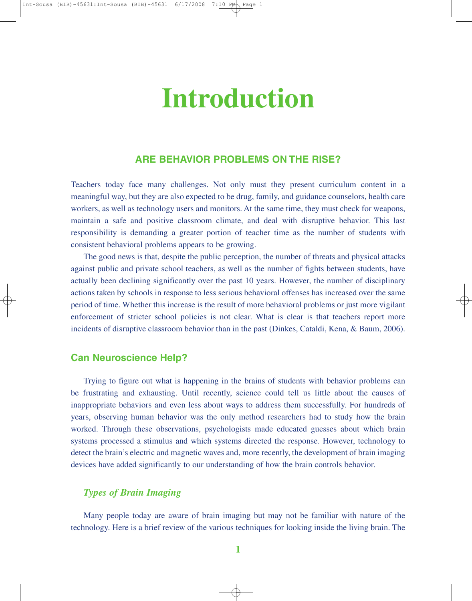# **Introduction**

### **ARE BEHAVIOR PROBLEMS ON THE RISE?**

Teachers today face many challenges. Not only must they present curriculum content in a meaningful way, but they are also expected to be drug, family, and guidance counselors, health care workers, as well as technology users and monitors. At the same time, they must check for weapons, maintain a safe and positive classroom climate, and deal with disruptive behavior. This last responsibility is demanding a greater portion of teacher time as the number of students with consistent behavioral problems appears to be growing.

The good news is that, despite the public perception, the number of threats and physical attacks against public and private school teachers, as well as the number of fights between students, have actually been declining significantly over the past 10 years. However, the number of disciplinary actions taken by schools in response to less serious behavioral offenses has increased over the same period of time. Whether this increase is the result of more behavioral problems or just more vigilant enforcement of stricter school policies is not clear. What is clear is that teachers report more incidents of disruptive classroom behavior than in the past (Dinkes, Cataldi, Kena, & Baum, 2006).

### **Can Neuroscience Help?**

Trying to figure out what is happening in the brains of students with behavior problems can be frustrating and exhausting. Until recently, science could tell us little about the causes of inappropriate behaviors and even less about ways to address them successfully. For hundreds of years, observing human behavior was the only method researchers had to study how the brain worked. Through these observations, psychologists made educated guesses about which brain systems processed a stimulus and which systems directed the response. However, technology to detect the brain's electric and magnetic waves and, more recently, the development of brain imaging devices have added significantly to our understanding of how the brain controls behavior.

# *Types of Brain Imaging*

Many people today are aware of brain imaging but may not be familiar with nature of the technology. Here is a brief review of the various techniques for looking inside the living brain. The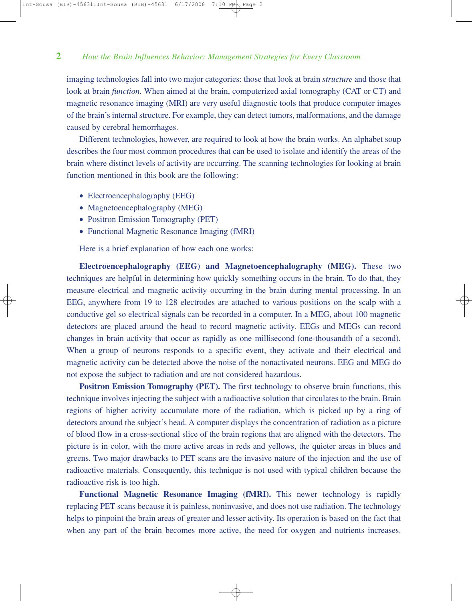#### **2** *How the Brain Influences Behavior: Management Strategies for Every Classroom*

imaging technologies fall into two major categories: those that look at brain *structure* and those that look at brain *function.* When aimed at the brain, computerized axial tomography (CAT or CT) and magnetic resonance imaging (MRI) are very useful diagnostic tools that produce computer images of the brain's internal structure. For example, they can detect tumors, malformations, and the damage caused by cerebral hemorrhages.

Different technologies, however, are required to look at how the brain works. An alphabet soup describes the four most common procedures that can be used to isolate and identify the areas of the brain where distinct levels of activity are occurring. The scanning technologies for looking at brain function mentioned in this book are the following:

- Electroencephalography (EEG)
- Magnetoencephalography (MEG)
- Positron Emission Tomography (PET)
- Functional Magnetic Resonance Imaging (fMRI)

Here is a brief explanation of how each one works:

**Electroencephalography (EEG) and Magnetoencephalography (MEG).** These two techniques are helpful in determining how quickly something occurs in the brain. To do that, they measure electrical and magnetic activity occurring in the brain during mental processing. In an EEG, anywhere from 19 to 128 electrodes are attached to various positions on the scalp with a conductive gel so electrical signals can be recorded in a computer. In a MEG, about 100 magnetic detectors are placed around the head to record magnetic activity. EEGs and MEGs can record changes in brain activity that occur as rapidly as one millisecond (one-thousandth of a second). When a group of neurons responds to a specific event, they activate and their electrical and magnetic activity can be detected above the noise of the nonactivated neurons. EEG and MEG do not expose the subject to radiation and are not considered hazardous.

**Positron Emission Tomography (PET).** The first technology to observe brain functions, this technique involves injecting the subject with a radioactive solution that circulates to the brain. Brain regions of higher activity accumulate more of the radiation, which is picked up by a ring of detectors around the subject's head. A computer displays the concentration of radiation as a picture of blood flow in a cross-sectional slice of the brain regions that are aligned with the detectors. The picture is in color, with the more active areas in reds and yellows, the quieter areas in blues and greens. Two major drawbacks to PET scans are the invasive nature of the injection and the use of radioactive materials. Consequently, this technique is not used with typical children because the radioactive risk is too high.

**Functional Magnetic Resonance Imaging (fMRI).** This newer technology is rapidly replacing PET scans because it is painless, noninvasive, and does not use radiation. The technology helps to pinpoint the brain areas of greater and lesser activity. Its operation is based on the fact that when any part of the brain becomes more active, the need for oxygen and nutrients increases.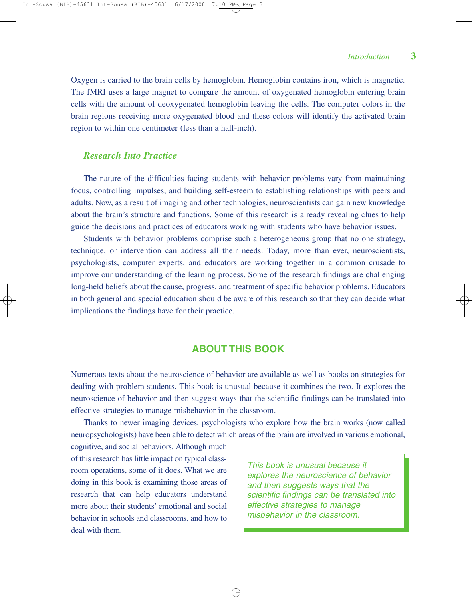#### *Introduction* **3**

Oxygen is carried to the brain cells by hemoglobin. Hemoglobin contains iron, which is magnetic. The fMRI uses a large magnet to compare the amount of oxygenated hemoglobin entering brain cells with the amount of deoxygenated hemoglobin leaving the cells. The computer colors in the brain regions receiving more oxygenated blood and these colors will identify the activated brain region to within one centimeter (less than a half-inch).

# *Research Into Practice*

The nature of the difficulties facing students with behavior problems vary from maintaining focus, controlling impulses, and building self-esteem to establishing relationships with peers and adults. Now, as a result of imaging and other technologies, neuroscientists can gain new knowledge about the brain's structure and functions. Some of this research is already revealing clues to help guide the decisions and practices of educators working with students who have behavior issues.

Students with behavior problems comprise such a heterogeneous group that no one strategy, technique, or intervention can address all their needs. Today, more than ever, neuroscientists, psychologists, computer experts, and educators are working together in a common crusade to improve our understanding of the learning process. Some of the research findings are challenging long-held beliefs about the cause, progress, and treatment of specific behavior problems. Educators in both general and special education should be aware of this research so that they can decide what implications the findings have for their practice.

#### **ABOUT THIS BOOK**

Numerous texts about the neuroscience of behavior are available as well as books on strategies for dealing with problem students. This book is unusual because it combines the two. It explores the neuroscience of behavior and then suggest ways that the scientific findings can be translated into effective strategies to manage misbehavior in the classroom.

Thanks to newer imaging devices, psychologists who explore how the brain works (now called neuropsychologists) have been able to detect which areas of the brain are involved in various emotional,

cognitive, and social behaviors. Although much of this research has little impact on typical classroom operations, some of it does. What we are doing in this book is examining those areas of research that can help educators understand more about their students' emotional and social behavior in schools and classrooms, and how to deal with them.

This book is unusual because it explores the neuroscience of behavior and then suggests ways that the scientific findings can be translated into effective strategies to manage misbehavior in the classroom.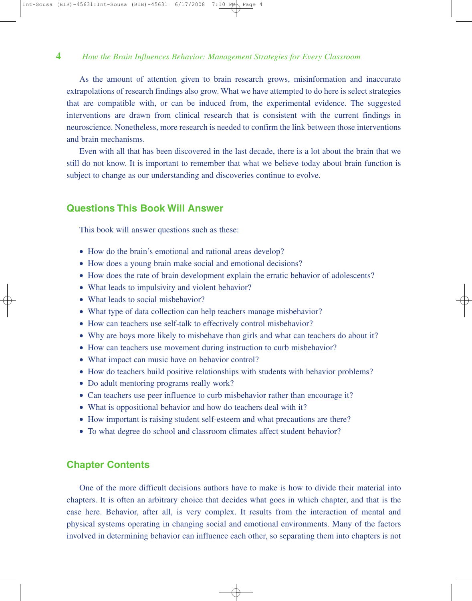#### **4** *How the Brain Influences Behavior: Management Strategies for Every Classroom*

As the amount of attention given to brain research grows, misinformation and inaccurate extrapolations of research findings also grow. What we have attempted to do here is select strategies that are compatible with, or can be induced from, the experimental evidence. The suggested interventions are drawn from clinical research that is consistent with the current findings in neuroscience. Nonetheless, more research is needed to confirm the link between those interventions and brain mechanisms.

Even with all that has been discovered in the last decade, there is a lot about the brain that we still do not know. It is important to remember that what we believe today about brain function is subject to change as our understanding and discoveries continue to evolve.

#### **Questions This Book Will Answer**

This book will answer questions such as these:

- How do the brain's emotional and rational areas develop?
- How does a young brain make social and emotional decisions?
- How does the rate of brain development explain the erratic behavior of adolescents?
- What leads to impulsivity and violent behavior?
- What leads to social misbehavior?
- What type of data collection can help teachers manage misbehavior?
- How can teachers use self-talk to effectively control misbehavior?
- Why are boys more likely to misbehave than girls and what can teachers do about it?
- How can teachers use movement during instruction to curb misbehavior?
- What impact can music have on behavior control?
- How do teachers build positive relationships with students with behavior problems?
- Do adult mentoring programs really work?
- Can teachers use peer influence to curb misbehavior rather than encourage it?
- What is oppositional behavior and how do teachers deal with it?
- How important is raising student self-esteem and what precautions are there?
- To what degree do school and classroom climates affect student behavior?

### **Chapter Contents**

One of the more difficult decisions authors have to make is how to divide their material into chapters. It is often an arbitrary choice that decides what goes in which chapter, and that is the case here. Behavior, after all, is very complex. It results from the interaction of mental and physical systems operating in changing social and emotional environments. Many of the factors involved in determining behavior can influence each other, so separating them into chapters is not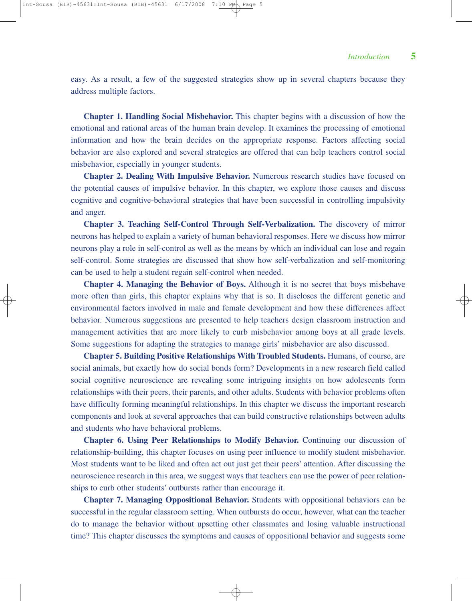#### *Introduction* **5**

easy. As a result, a few of the suggested strategies show up in several chapters because they address multiple factors.

**Chapter 1. Handling Social Misbehavior.** This chapter begins with a discussion of how the emotional and rational areas of the human brain develop. It examines the processing of emotional information and how the brain decides on the appropriate response. Factors affecting social behavior are also explored and several strategies are offered that can help teachers control social misbehavior, especially in younger students.

**Chapter 2. Dealing With Impulsive Behavior.** Numerous research studies have focused on the potential causes of impulsive behavior. In this chapter, we explore those causes and discuss cognitive and cognitive-behavioral strategies that have been successful in controlling impulsivity and anger.

**Chapter 3. Teaching Self-Control Through Self-Verbalization.** The discovery of mirror neurons has helped to explain a variety of human behavioral responses. Here we discuss how mirror neurons play a role in self-control as well as the means by which an individual can lose and regain self-control. Some strategies are discussed that show how self-verbalization and self-monitoring can be used to help a student regain self-control when needed.

**Chapter 4. Managing the Behavior of Boys.** Although it is no secret that boys misbehave more often than girls, this chapter explains why that is so. It discloses the different genetic and environmental factors involved in male and female development and how these differences affect behavior. Numerous suggestions are presented to help teachers design classroom instruction and management activities that are more likely to curb misbehavior among boys at all grade levels. Some suggestions for adapting the strategies to manage girls' misbehavior are also discussed.

**Chapter 5. Building Positive Relationships With Troubled Students.** Humans, of course, are social animals, but exactly how do social bonds form? Developments in a new research field called social cognitive neuroscience are revealing some intriguing insights on how adolescents form relationships with their peers, their parents, and other adults. Students with behavior problems often have difficulty forming meaningful relationships. In this chapter we discuss the important research components and look at several approaches that can build constructive relationships between adults and students who have behavioral problems.

**Chapter 6. Using Peer Relationships to Modify Behavior.** Continuing our discussion of relationship-building, this chapter focuses on using peer influence to modify student misbehavior. Most students want to be liked and often act out just get their peers' attention. After discussing the neuroscience research in this area, we suggest ways that teachers can use the power of peer relationships to curb other students' outbursts rather than encourage it.

**Chapter 7. Managing Oppositional Behavior.** Students with oppositional behaviors can be successful in the regular classroom setting. When outbursts do occur, however, what can the teacher do to manage the behavior without upsetting other classmates and losing valuable instructional time? This chapter discusses the symptoms and causes of oppositional behavior and suggests some